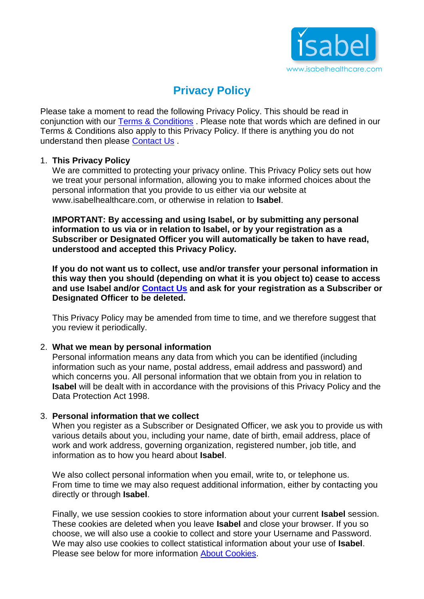

# **Privacy Policy**

Please take a moment to read the following Privacy Policy. This should be read in conjunction with our [Terms & Conditions](http://prodev.isabelhealthcare.com/utils/terms) . Please note that words which are defined in our Terms & Conditions also apply to this Privacy Policy. If there is anything you do not understand then please [Contact Us](http://prodev.isabelhealthcare.com/home/contact) .

## 1. **This Privacy Policy**

We are committed to protecting your privacy online. This Privacy Policy sets out how we treat your personal information, allowing you to make informed choices about the personal information that you provide to us either via our website at www.isabelhealthcare.com, or otherwise in relation to **Isabel**.

**IMPORTANT: By accessing and using Isabel, or by submitting any personal information to us via or in relation to Isabel, or by your registration as a Subscriber or Designated Officer you will automatically be taken to have read, understood and accepted this Privacy Policy.** 

**If you do not want us to collect, use and/or transfer your personal information in this way then you should (depending on what it is you object to) cease to access and use Isabel and/or [Contact Us](http://prodev.isabelhealthcare.com/home/contact) and ask for your registration as a Subscriber or Designated Officer to be deleted.** 

This Privacy Policy may be amended from time to time, and we therefore suggest that you review it periodically.

## 2. **What we mean by personal information**

Personal information means any data from which you can be identified (including information such as your name, postal address, email address and password) and which concerns you. All personal information that we obtain from you in relation to **Isabel** will be dealt with in accordance with the provisions of this Privacy Policy and the Data Protection Act 1998.

## 3. **Personal information that we collect**

When you register as a Subscriber or Designated Officer, we ask you to provide us with various details about you, including your name, date of birth, email address, place of work and work address, governing organization, registered number, job title, and information as to how you heard about **Isabel**.

We also collect personal information when you email, write to, or telephone us. From time to time we may also request additional information, either by contacting you directly or through **Isabel**.

Finally, we use session cookies to store information about your current **Isabel** session. These cookies are deleted when you leave **Isabel** and close your browser. If you so choose, we will also use a cookie to collect and store your Username and Password. We may also use cookies to collect statistical information about your use of **Isabel**. Please see below for more information [About Cookies.](http://prodev.isabelhealthcare.com/utils/privacy#c10)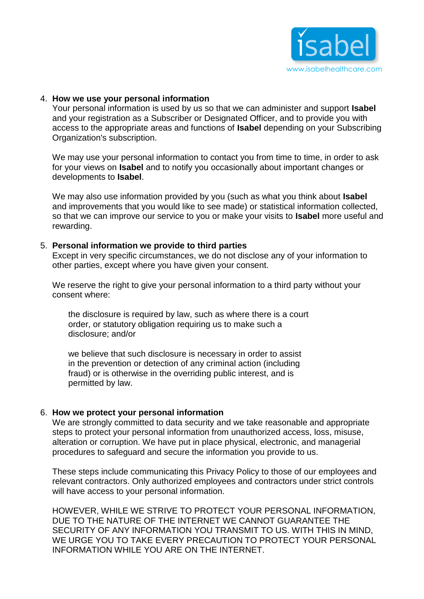

## 4. **How we use your personal information**

Your personal information is used by us so that we can administer and support **Isabel** and your registration as a Subscriber or Designated Officer, and to provide you with access to the appropriate areas and functions of **Isabel** depending on your Subscribing Organization's subscription.

We may use your personal information to contact you from time to time, in order to ask for your views on **Isabel** and to notify you occasionally about important changes or developments to **Isabel**.

We may also use information provided by you (such as what you think about **Isabel** and improvements that you would like to see made) or statistical information collected, so that we can improve our service to you or make your visits to **Isabel** more useful and rewarding.

## 5. **Personal information we provide to third parties**

Except in very specific circumstances, we do not disclose any of your information to other parties, except where you have given your consent.

We reserve the right to give your personal information to a third party without your consent where:

the disclosure is required by law, such as where there is a court order, or statutory obligation requiring us to make such a disclosure; and/or

we believe that such disclosure is necessary in order to assist in the prevention or detection of any criminal action (including fraud) or is otherwise in the overriding public interest, and is permitted by law.

#### 6. **How we protect your personal information**

We are strongly committed to data security and we take reasonable and appropriate steps to protect your personal information from unauthorized access, loss, misuse, alteration or corruption. We have put in place physical, electronic, and managerial procedures to safeguard and secure the information you provide to us.

These steps include communicating this Privacy Policy to those of our employees and relevant contractors. Only authorized employees and contractors under strict controls will have access to your personal information.

HOWEVER, WHILE WE STRIVE TO PROTECT YOUR PERSONAL INFORMATION, DUE TO THE NATURE OF THE INTERNET WE CANNOT GUARANTEE THE SECURITY OF ANY INFORMATION YOU TRANSMIT TO US. WITH THIS IN MIND, WE URGE YOU TO TAKE EVERY PRECAUTION TO PROTECT YOUR PERSONAL INFORMATION WHILE YOU ARE ON THE INTERNET.